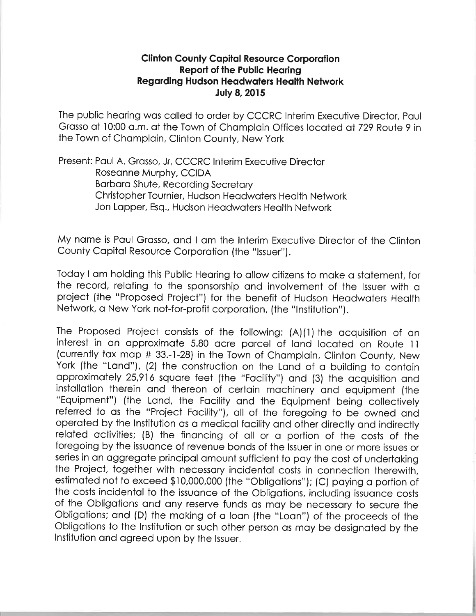## **Clinton County Capital Resource Corporation** Report of the Public Hearing **Regarding Hudson Headwaters Health Network** July 8, 2015

The public heoring wos colled to order by CCCRC lnterim Executive Director, Poul Grasso at 10:00 a.m. at the Town of Champlain Offices located at 729 Route 9 in the Town of Chomploin, Clinton County, New York

Present: Poul A. Grosso, Jr, CCCRC lnterim Executive Director Roseonne Murphy, CCIDA Borboro Shute, Recording Secretory Christopher Tournier, Hudson Heodwoters Heolth Network Jon Lopper, Esq., Hudson Heodwoters Heolth Network

My name is Paul Grasso, and I am the Interim Executive Director of the Clinton County Copitol Resource Corporotion (the "lssuer").

Todoy I om holding thís Public Heoring to ollow citizens to moke o stotement, for the record, relating to the sponsorship and involvement of the Issuer with a project (the "Proposed Project") for the benefit of Hudson Heodwoters Heolth Network, o New York not-for-profit corporotion, (the "lnstitution").

The Proposed Project consists of the following: (A)(1) the acquisition of an interest in an approximate 5.80 acre parcel of land located on Route 11 (currently tax map # 33.-1-28) in the Town of Champlain, Clinton County, New York (the "Land"), (2) the construction on the Land of a building to contain opproximotely 25,91ó squore feet (the "Focílity") ond (3) the ocquisition ond installation therein and thereon of certain machinery and equipment (the "Equipment") (the Lond, the Focílity ond the Equipment being collectively referred to os the "Project Focility"), oll of the foregoing to be owned ond operoted by the lnstitution os o medicol focility ond other directly ond indirectly related activities; (B) the financing of all or a portion of the costs of the foregoing by the issuonce of revenue bonds of the lssuer in one or more issues or series in an aggregate principal amount sufficient to pay the cost of undertaking the Project, together with necessory incidentol costs in connectíon therewith, estimated not to exceed \$10,000,000 (the "Obligations"); (C) paying a portion of the costs incidental to the issuance of the Obligations, including issuance costs of the Oblígotions ond ony reserve funds os moy be necessory to secure the Obligotions; ond (D) the moking of o loon (the "Loon") of the proceeds of the Obligotíons to the lnstitution or such other person os moy be designoted by the lnstitution ond ogreed upon by the lssuer.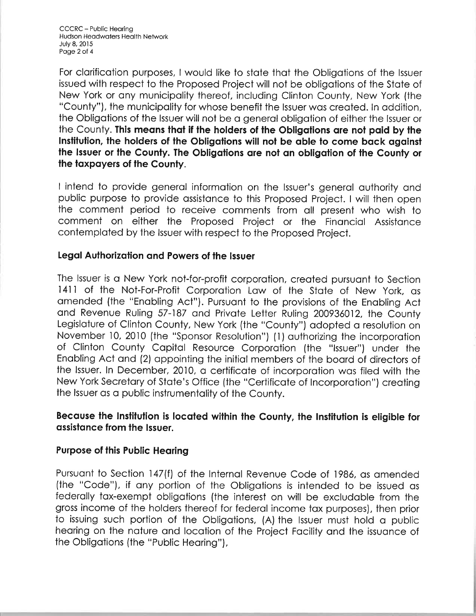For clarification purposes, I would like to state that the Obligations of the Issuer issued with respect to the Proposed Project will not be obligations of the State of New York or any municipality thereof, including Clinton County, New York (the "County"), the municipality for whose benefit the Issuer was created. In addition, the Obligations of the Issuer will not be a general obligation of either the Issuer or the County. This means that if the holders of the Obligations are not paid by the Institution, the holders of the Obligations will not be able to come back against the Issuer or the County. The Obligations are not an obligation of the County or the taxpayers of the County.

I intend to provide general information on the Issuer's general authority and public purpose to provide assistance to this Proposed Project. I will then open the comment period to receive comments from all present who wish to comment on either the Proposed Project or the Financial Assistance contemplated by the Issuer with respect to the Proposed Project.

## Legal Authorization and Powers of the Issuer

The Issuer is a New York not-for-profit corporation, created pursuant to Section 1411 of the Not-For-Profit Corporation Law of the State of New York, as amended (the "Enabling Act"). Pursuant to the provisions of the Enabling Act and Revenue Ruling 57-187 and Private Letter Ruling 200936012, the County Legislature of Clinton County, New York (the "County") adopted a resolution on November 10, 2010 (the "Sponsor Resolution") (1) authorizing the incorporation of Clinton County Capital Resource Corporation (the "Issuer") under the Enabling Act and (2) appointing the initial members of the board of directors of the Issuer. In December, 2010, a certificate of incorporation was filed with the New York Secretary of State's Office (the "Certificate of Incorporation") creating the Issuer as a public instrumentality of the County.

# Because the Institution is located within the County, the Institution is eligible for assistance from the Issuer.

### **Purpose of this Public Hearing**

Pursuant to Section 147(f) of the Internal Revenue Code of 1986, as amended (the "Code"), if any portion of the Obligations is intended to be issued as federally tax-exempt obligations (the interest on will be excludable from the gross income of the holders thereof for federal income tax purposes), then prior to issuing such portion of the Obligations, (A) the Issuer must hold a public hearing on the nature and location of the Project Facility and the issuance of the Obligations (the "Public Hearing"),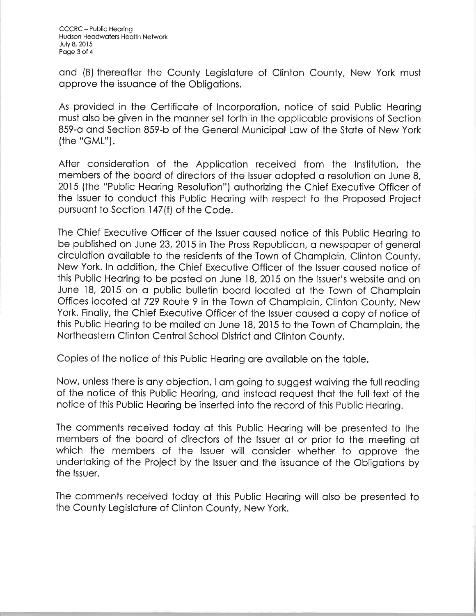ond (B) thereofter the County Legisloture of Clinton County, New York must opprove the issuonce of the Obligotions.

As provided in the Certificote of lncorporotion, notice of soid Public Heoring musf olso be given in the monner set forth in the opplicoble provisions of Section 859-o ond Section 859-b of the Generol Municipol Low of the Stote of New York (the "GML").

After consideration of the Application received from the Institution, the members of the board of directors of the Issuer adopted a resolution on June 8, 2015 (the "Public Heoring Resolution") outhorizing the Chief Executive Officer of the lssuer to conduct this Public Heoring with respect to the Proposed Project pursuont to Section 147 (f) of the Code.

The Chief Executive Officer of the lssuer coused notice of this Public Heoring to be published on June 23, 2015 in The Press Republican, a newspaper of general circulation available to the residents of the Town of Champlain, Clinton County, New York. ln oddition, the Chief Executive Officer of the lssuer coused notice of this Public Hearing to be posted on June 18, 2015 on the Issuer's website and on June lB,20l5 on o public bulletin boord locoted of the Town of Chomploin Offices located at 729 Route 9 in the Town of Champlain, Clinton County, New York. Finally, the Chief Executive Officer of the Issuer caused a copy of notice of this Public Heoring to be moiled on June 18,20ì5 to the Town of Chomploin, the Northeostern Clinton Centrol School District ond Clinton County.

Copies of the notice of this Public Heoring ore ovoiloble on the toble.

Now, unless there is ony objection, I om going to suggest woiving ihe full reoding of the notice of this Public Heoring, ond insteod request thot the full text of the notice of this Public Hearing be inserted into the record of this Public Hearing.

The comments received todoy of this Public Heoring will be presented to the members of the board of directors of the Issuer at or prior to the meeting at which the members of the Issuer will consider whether to approve the undertoking of the Project by the lssuer ond the issuonce of the Obligotions by the lssuer.

The comments received todoy of this Public Heoring will olso be presented to the County Legisloture of Clinton County, New York.